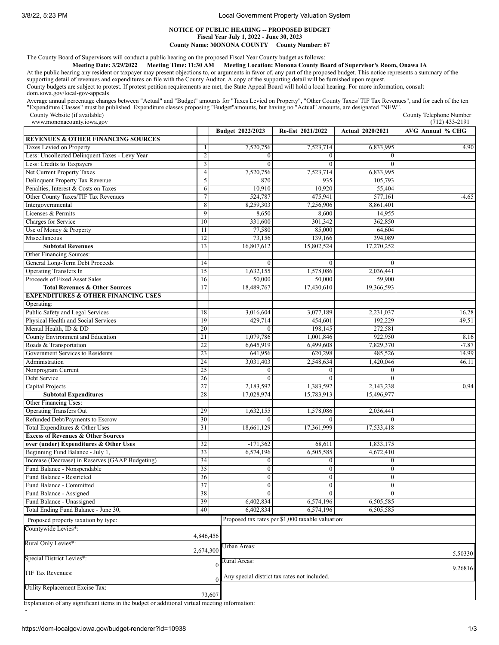3/8/22, 5:23 PM Local Government Property Valuation System

## **NOTICE OF PUBLIC HEARING -- PROPOSED BUDGET Fiscal Year July 1, 2022 - June 30, 2023 County Name: MONONA COUNTY County Number: 67**

The County Board of Supervisors will conduct a public hearing on the proposed Fiscal Year County budget as follows:

Meeting Date: 3/29/2022 Meeting Time: 11:30 AM Meeting Location: Monona County Board of Supervisor's Room, Onawa IA

At the public hearing any resident or taxpayer may present objections to, or arguments in favor of, any part of the proposed budget. This notice represents a summary of the supporting detail of revenues and expenditures on file with the County Auditor. A copy of the supporting detail will be furnished upon request. County budgets are subject to protest. If protest petition requirements are met, the State Appeal Board will hold a local hearing. For more information, consult dom.iowa.gov/local-gov-appeals

Average annual percentage changes between "Actual" and "Budget" amounts for "Taxes Levied on Property", "Other County Taxes/ TIF Tax Revenues", and for each of the ten<br>"Expenditure Classes" must be published. Expenditure c

County Website (if available) www.mononacounty.jowa.gov

| www.mononacounty.iowa.gov                        |                         |                  |                                                   |                         | $(712)$ 433-2191 |
|--------------------------------------------------|-------------------------|------------------|---------------------------------------------------|-------------------------|------------------|
|                                                  |                         | Budget 2022/2023 | Re-Est 2021/2022                                  | <b>Actual 2020/2021</b> | AVG Annual % CHG |
| <b>REVENUES &amp; OTHER FINANCING SOURCES</b>    |                         |                  |                                                   |                         |                  |
| Taxes Levied on Property                         |                         | 7,520,756        | 7,523,714                                         | 6,833,995               | 4.90             |
| Less: Uncollected Delinquent Taxes - Levy Year   | $\sqrt{2}$              | $\theta$         | $\theta$                                          |                         |                  |
| Less: Credits to Taxpayers                       | $\overline{\mathbf{3}}$ | $\mathbf{0}$     | $\overline{0}$                                    | $\mathbf{0}$            |                  |
| Net Current Property Taxes                       | $\overline{4}$          | 7,520,756        | 7,523,714                                         | 6,833,995               |                  |
| Delinquent Property Tax Revenue                  | 5                       | 870              | 935                                               | 105,793                 |                  |
| Penalties, Interest & Costs on Taxes             | 6                       | 10,910           | 10,920                                            | 55,404                  |                  |
| Other County Taxes/TIF Tax Revenues              | $\overline{7}$          | 524,787          | 475,941                                           | 577,161                 | $-4.65$          |
| Intergovernmental                                | 8                       | 8.259.303        | 7,256,906                                         | 8,861,401               |                  |
| Licenses & Permits                               | 9                       | 8,650            | 8,600                                             | 14,955                  |                  |
| Charges for Service                              | 10                      | 331,600          | 301,342                                           | 362,850                 |                  |
| Use of Money & Property                          | 11                      | 77,580           | 85,000                                            | 64.604                  |                  |
| Miscellaneous                                    | 12                      | 73,156           | 139,166                                           | 394,089                 |                  |
| <b>Subtotal Revenues</b>                         | 13                      | 16,807,612       | 15,802,524                                        | 17,270,252              |                  |
| Other Financing Sources:                         |                         |                  |                                                   |                         |                  |
| General Long-Term Debt Proceeds                  | 14                      | $\mathbf{0}$     | $\mathbf{0}$                                      | $\mathbf{0}$            |                  |
| <b>Operating Transfers In</b>                    | 15                      | 1,632,155        | 1,578,086                                         | 2,036,441               |                  |
| Proceeds of Fixed Asset Sales                    | 16                      | 50,000           | 50,000                                            | 59,900                  |                  |
| <b>Total Revenues &amp; Other Sources</b>        | 17                      | 18,489,767       | 17,430,610                                        | 19,366,593              |                  |
| <b>EXPENDITURES &amp; OTHER FINANCING USES</b>   |                         |                  |                                                   |                         |                  |
| Operating:                                       |                         |                  |                                                   |                         |                  |
| Public Safety and Legal Services                 | 18                      | 3,016,604        | 3,077,189                                         | 2,231,037               | 16.28            |
| Physical Health and Social Services              | 19                      | 429,714          | 454,601                                           | 192,229                 | 49.51            |
| Mental Health, ID & DD                           | 20                      | $\Omega$         | 198,145                                           | 272,581                 |                  |
| County Environment and Education                 | 21                      | 1.079.786        | 1,001,846                                         | 922,950                 | 8.16             |
| Roads & Transportation                           | 22                      | 6,645,919        | 6,499,608                                         | 7,829,370               | $-7.87$          |
| Government Services to Residents                 | 23                      | 641,956          | 620,298                                           | 485,526                 | 14.99            |
| Administration                                   | 24                      | 3,031,403        | 2,548,634                                         | 1,420,046               | 46.11            |
| Nonprogram Current                               | 25                      | $\boldsymbol{0}$ | $\theta$                                          | 0                       |                  |
| Debt Service                                     | 26                      | $\Omega$         |                                                   |                         |                  |
| Capital Projects                                 | 27                      | 2,183,592        | 1,383,592                                         | 2,143,238               | 0.94             |
| <b>Subtotal Expenditures</b>                     | 28                      | 17,028,974       | 15,783,913                                        | 15,496,977              |                  |
| Other Financing Uses:                            |                         |                  |                                                   |                         |                  |
| <b>Operating Transfers Out</b>                   | 29                      | 1,632,155        | 1,578,086                                         | 2,036,441               |                  |
| Refunded Debt/Payments to Escrow                 | 30                      |                  |                                                   |                         |                  |
| Total Expenditures & Other Uses                  | 31                      | 18,661,129       | 17,361,999                                        | 17,533,418              |                  |
| <b>Excess of Revenues &amp; Other Sources</b>    |                         |                  |                                                   |                         |                  |
| over (under) Expenditures & Other Uses           | 32                      | $-171,362$       | 68,611                                            | 1,833,175               |                  |
| Beginning Fund Balance - July 1,                 | 33                      | 6,574,196        | 6,505,585                                         | 4,672,410               |                  |
| Increase (Decrease) in Reserves (GAAP Budgeting) | 34                      | $\boldsymbol{0}$ | $\bf{0}$                                          | $\mathbf{0}$            |                  |
| Fund Balance - Nonspendable                      | 35                      | $\mathbf{0}$     | $\mathbf{0}$                                      | $\boldsymbol{0}$        |                  |
| Fund Balance - Restricted                        | 36                      | $\boldsymbol{0}$ | $\overline{0}$                                    | $\bf{0}$                |                  |
| Fund Balance - Committed                         | 27<br>$\mathcal{I}$     | v                | v                                                 | v                       |                  |
| Fund Balance - Assigned                          | 38                      | $\mathbf{0}$     | $\overline{0}$                                    | $\mathbf{0}$            |                  |
| Fund Balance - Unassigned                        | 39                      | 6,402,834        | 6,574,196                                         | 6,505,585               |                  |
| Total Ending Fund Balance - June 30,             | 40                      | 6,402,834        | 6,574,196                                         | 6,505,585               |                  |
| Proposed property taxation by type:              |                         |                  | Proposed tax rates per \$1,000 taxable valuation: |                         |                  |
| Countywide Levies*:                              |                         |                  |                                                   |                         |                  |
|                                                  | 4,846,456               |                  |                                                   |                         |                  |
| Rural Only Levies*:                              |                         |                  |                                                   |                         |                  |
|                                                  | 2,674,300               | Urban Areas:     |                                                   |                         | 5.50330          |
| Special District Levies*:                        |                         | Rural Areas:     |                                                   |                         |                  |
|                                                  |                         | $\mathbf{0}$     |                                                   |                         | 9.26816          |
| TIF Tax Revenues:                                |                         |                  | Any special district tax rates not included.      |                         |                  |
| Utility Replacement Excise Tax:                  |                         |                  |                                                   |                         |                  |
|                                                  | 73,607                  |                  |                                                   |                         |                  |
|                                                  |                         |                  |                                                   |                         |                  |

Explanation of any significant items in the budget or additional virtual meeting information: -

County Telephone Number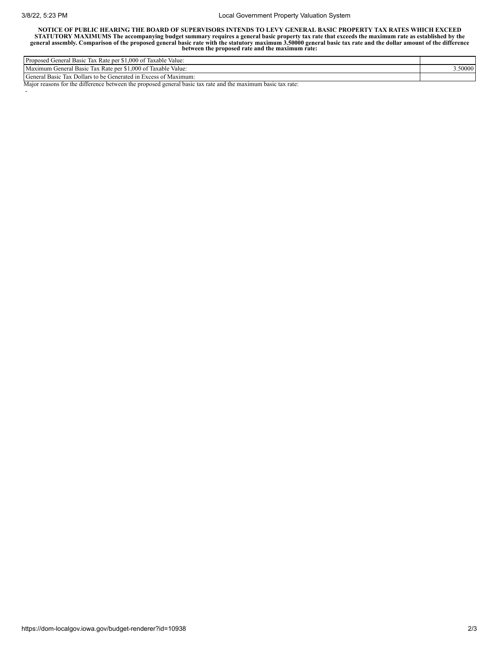-

## 3/8/22, 5:23 PM Local Government Property Valuation System

NOTICE OF PUBLIC HEARING THE BOARD OF SUPERVISORS INTENDS TO LEVY GENERAL BASIC PROPERTY TAX RATES WHICH EXCEED STATUTORY MAXIMUMS The accompanying budget summary requires a general basic property tax rate that exceeds the maximum rate as established by the general assembly. Comparison of the proposed general basic rate with the sta

| Proposed<br>$\sim$<br>$\sim$ $\sim$ $\sim$<br>\$1,000 of<br>Taxable<br>Value:<br>1ax<br>. Rate per<br><b>Basic</b><br>reneral. |       |
|--------------------------------------------------------------------------------------------------------------------------------|-------|
| $T$ $T$ $T$<br>Maximum<br>$\sim$<br>.000<br>Taxable Value:<br>J of<br>Kate per<br>Cieneral<br><b>Basic</b><br>lov<br>ıαλ       | 50000 |
| General<br>Dollars to be Generated in Excess of Maximum:<br><b>Basic</b><br>1ax                                                |       |

Major reasons for the difference between the proposed general basic tax rate and the maximum basic tax rate: